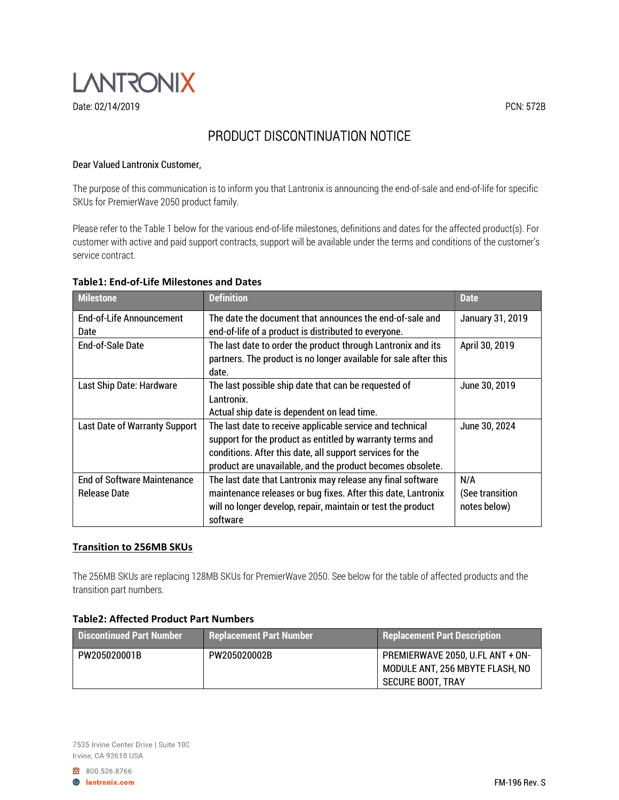

# PRODUCT DISCONTINUATION NOTICE

### Dear Valued Lantronix Customer,

The purpose of this communication is to inform you that Lantronix is announcing the end-of-sale and end-of-life for specific SKUs for PremierWave 2050 product family.

Please refer to the Table 1 below for the various end-of-life milestones, definitions and dates for the affected product(s). For customer with active and paid support contracts, support will be available under the terms and conditions of the customer's service contract.

| <b>Milestone</b>                                          | <b>Definition</b>                                                                                                                                                                                                                                 | <b>Date</b>                            |
|-----------------------------------------------------------|---------------------------------------------------------------------------------------------------------------------------------------------------------------------------------------------------------------------------------------------------|----------------------------------------|
| End-of-Life Announcement                                  | The date the document that announces the end-of-sale and                                                                                                                                                                                          | January 31, 2019                       |
| Date                                                      | end-of-life of a product is distributed to everyone.                                                                                                                                                                                              |                                        |
| End-of-Sale Date                                          | The last date to order the product through Lantronix and its<br>partners. The product is no longer available for sale after this<br>date.                                                                                                         | April 30, 2019                         |
| Last Ship Date: Hardware                                  | The last possible ship date that can be requested of<br>Lantronix.<br>Actual ship date is dependent on lead time.                                                                                                                                 | June 30, 2019                          |
| Last Date of Warranty Support                             | The last date to receive applicable service and technical<br>support for the product as entitled by warranty terms and<br>conditions. After this date, all support services for the<br>product are unavailable, and the product becomes obsolete. | June 30, 2024                          |
| <b>End of Software Maintenance</b><br><b>Release Date</b> | The last date that Lantronix may release any final software<br>maintenance releases or bug fixes. After this date, Lantronix<br>will no longer develop, repair, maintain or test the product<br>software                                          | N/A<br>(See transition<br>notes below) |

#### Table1: End-of-Life Milestones and Dates

#### Transition to 256MB SKUs

The 256MB SKUs are replacing 128MB SKUs for PremierWave 2050. See below for the table of affected products and the transition part numbers.

## Table2: Affected Product Part Numbers

| <b>Discontinued Part Number</b> | <b>Replacement Part Number</b> | <b>Replacement Part Description</b>                                                      |
|---------------------------------|--------------------------------|------------------------------------------------------------------------------------------|
| PW205020001B                    | PW205020002B                   | PREMIERWAVE 2050. U.FL ANT + ON-<br>MODULE ANT, 256 MBYTE FLASH, NO<br>SECURE BOOT. TRAY |

800.526.8766